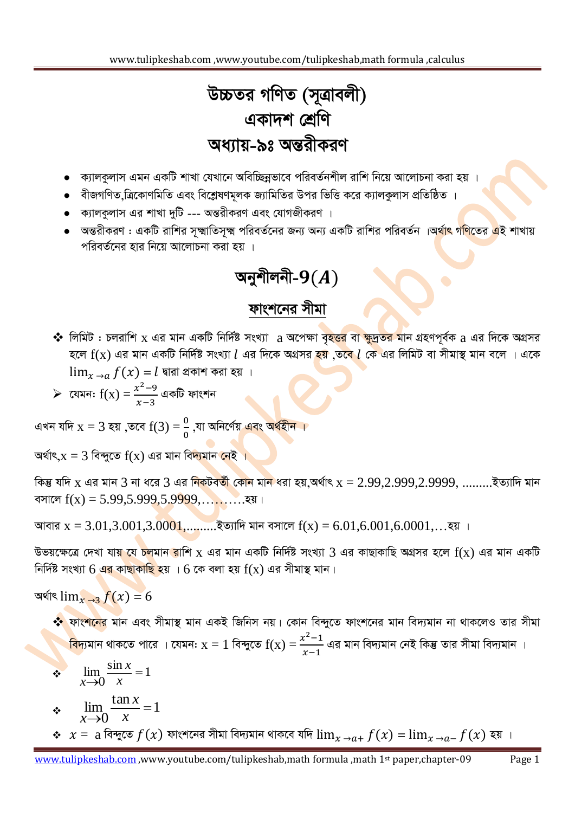www.tulipkeshab.com ,www.youtube.com/tulipkeshab,math formula ,calculus

## উচ্চতর গণিত (সূত্রাবলী) একাদশ শ্ৰেণি অধ্যায়-৯ঃ অন্তরীকরণ

- ক্যালকুলাস এমন একটি শাখা যেখানে অবিচ্ছিন্নভাবে পরিবর্তনশীল রাশি নিয়ে আলোচনা করা হয় ।
- বীজগণিত ত্রিকোণমিতি এবং বিশ্লেষণমূলক জ্যামিতির উপর ভিত্তি করে ক্যালকুলাস প্রতিষ্ঠিত ।
- ক্যালকলাস এর শাখা দুটি --- অন্তরীকরণ এবং যোগজীকরণ ।
- `অন্তরীকরণ : একটি রাশির সঙ্গ্মাতিসৃক্ষ্ম পরিবর্তনের জন্য অন্য একটি রাশির পরিবর্তন ।অর্থাৎ গ<mark>ণি</mark>তের <mark>এ</mark>ই শাখায় পরিবর্তনের হার নিয়ে আলোচনা করা হয় ।

#### অনুশীলনী- $9(A)$

#### ফাংশনের সীমা

- ❖ লিমিট : চলরাশি x এর মান একটি নির্দিষ্ট সংখ্যা a অপেক্ষা বৃহ<mark>ত্তর</mark> বা ক্ষুদ্রতর মান গ্রহণপূর্বক a এর দিকে অগ্রসর হলে  $f(x)$  এর মান একটি নির্দিষ্ট সংখ্যা  $l$  এর দিকে অগ্রসর হয় ,তবে  $l$  কে এর লিমিট বা সীমাস্থ মান বলে । একে  $\lim_{x\to a} f(x) = l$  দ্বারা প্রকাশ করা হয় ।
- $\triangleright$  যেমন:  $f(x) = \frac{x^2-9}{x-3}$  একটি ফাংশন

এখন যদি  $x = 3$  হয় ,তবে  $f(3) = \frac{0}{0}$  ,যা অনির্ণেয় এবং অর্থহীন ।

অর্থাৎ, $x = 3$  বিন্দুতে  $f(x)$  এর মান বি<mark>দ্যমান নেই ।</mark>

কিম্ভ যদি x এর মান 3 না ধরে 3 এর নিকটবর্তী কোন মান ধরা হয়,অর্থাৎ x = 2.99,2.999,2.9999, .........ইত্যাদি মান 

আবার  $x = 3.01, 3.001, 3.0001, \ldots$  ইত্যাদি মান বসালে  $f(x) = 6.01, 6.001, 6.0001, \ldots$ হয়।

উভয়ক্ষেত্রে দেখা যায় যে চলমান রাশি x এর মান একটি নির্দিষ্ট সংখ্যা 3 এর কাছাকাছি অগ্রসর হলে f(x) এর মান একটি নির্দিষ্ট সংখ্যা 6 <mark>এর কাছাকাছি হ</mark>য় । 6 কে বলা হয়  $f(x)$  এর সীমাস্থ মান।

অৰ্থাৎ  $\lim_{x\to 3} f(x) = 6$ 

\* ফাংশ<mark>নের মা</mark>ন এবং সীমাস্থ মান একই জিনিস নয়। কোন বিন্দুতে ফাংশনের মান বিদ্যমান না থাকলেও তার সীমা বিদ্যমান থাকতে পারে । যেমন:  $x = 1$  বিন্দুতে  $f(x) = \frac{x^2-1}{x-1}$  এর মান বিদ্যমান নেই কিন্তু তার সীমা বিদ্যমান ।

$$
\therefore \lim_{x \to 0} \frac{\sin x}{x} = 1
$$
\n
$$
\therefore \lim_{x \to 0} \frac{\tan x}{x} = 1
$$
\n
$$
\therefore x = a \text{ for } f(x) \text{ for } f(x) \text{ for } f(x) = \lim_{x \to a^+} f(x) = \lim_{x \to a^-} f(x) \text{ or } f(x) = \lim_{x \to a^+} f(x) = \lim_{x \to a^-} f(x) = \lim_{x \to a^-} f(x) = \lim_{x \to a^+} f(x) = \lim_{x \to a^-} f(x) = \lim_{x \to a^-} f(x) = \lim_{x \to a^-} f(x) = \lim_{x \to a^-} f(x) = \lim_{x \to a^-} f(x) = \lim_{x \to a^-} f(x) = \lim_{x \to a^-} f(x) = \lim_{x \to a^-} f(x) = \lim_{x \to a^-} f(x) = \lim_{x \to a^-} f(x) = \lim_{x \to a^-} f(x) = \lim_{x \to a^-} f(x) = \lim_{x \to a^-} f(x) = \lim_{x \to a^-} f(x) = \lim_{x \to a^-} f(x) = \lim_{x \to a^-} f(x) = \lim_{x \to a^-} f(x) = \lim_{x \to a^-} f(x) = \lim_{x \to a^-} f(x) = \lim_{x \to a^-} f(x) = \lim_{x \to a^-} f(x) = \lim_{x \to a^-} f(x) = \lim_{x \to a^-} f(x) = \lim_{x \to a^-} f(x) = \lim_{x \to a^-} f(x) = \lim_{x \to a^-} f(x) = \lim_{x \to a^-} f(x) = \lim_{x \to a^-} f(x) = \lim_{x \to a^-} f(x) = \lim_{x \to a^-} f(x) = \lim_{x \to a^-} f(x) = \lim_{x \to a^-} f(x) = \lim_{x \to a^-} f(x) = \lim_{x \to a^-} f(x) = \lim_{x \to a^-} f(x) = \lim_{x \to a^-} f(x) = \lim_{x \to a^-} f(x) = \lim_{x \to a^-} f(x) = \lim_{x \to a^-} f(x) = \lim_{x \to a^-} f(x) = \lim_{x \to a^-} f(x) = \lim_{x \to a^-} f(x) = \lim_{x \to a^+} f(x) = \lim_{x \to a^-} f(x) = \
$$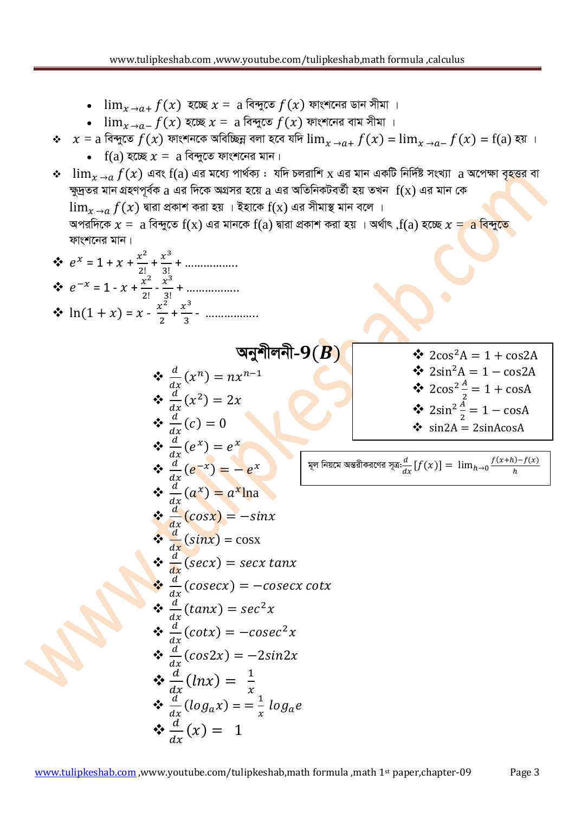- $\lim_{x\to a+} f(x)$  হচ্ছে  $x = a$  বিন্দুতে  $f(x)$  ফাংশনের ডান সীমা ।
- $\bullet$   $\lim_{x\to a^-} f(x)$  হচ্ছে  $x = a$  বিন্দুতে  $f(x)$  ফাংশনের বাম সীমা ।
- $\hat{x}$   $x = a$  বিন্দুতে  $f(x)$  ফাংশনকে অবিচ্ছিন্ন বলা হবে যদি  $\lim_{x \to a^+} f(x) = \lim_{x \to a^-} f(x) = f(a)$  হয় ।
	- $\bullet$  f(a) হচ্ছে  $x = a$  বিন্দুতে ফাংশনের মান।
- $\div$   $\lim_{x\to a} f(x)$  এবং  $f(a)$  এর মধ্যে পার্থক্য : যদি চলরাশি x এর মান একটি নির্দিষ্ট সংখ্যা  $a$  অপেক্ষা বৃহত্তর বা  $\frac{1}{2}$ দ্দুদ্রতর মান গ্রহণপূর্বক  $a$  এর দিকে অগ্রসর হয়ে  $a$  এর অতিনিকটবর্তী হয় তখন  $\ f(x)$  এর মান কে  $\lim_{x\to a} f(x)$  দ্বারা প্রকাশ করা হয় । ইহাকে  $f(x)$  এর সীমাস্থ মান বলে ।  $A$ পরদিকে  $x = a$  বিন্দুতে  $f(x)$  এর মানকে  $f(a)$  দ্বারা প্রকাশ করা হয় । অর্থাৎ , $f(a)$  হচ্ছে  $x = a$  বিন্দুতে ফাংশনের মান।

$$
e^{x} = 1 + x + \frac{x^{2}}{2!} + \frac{x^{3}}{3!} + \dots
$$
  
\n
$$
e^{-x} = 1 - x + \frac{x^{2}}{2!} - \frac{x^{3}}{3!} + \dots
$$
  
\n
$$
x \ln(1 + x) = x - \frac{x^{2}}{2} + \frac{x^{3}}{3} - \dots
$$

অনুশীলনী- $9(B)$  $\frac{d}{d}$  $\frac{a}{dx}(x^n)$  $\frac{d}{d}$  $\frac{a}{dx}(x^2)$  $\frac{d}{d}$  $rac{u}{dx}$  (  $\frac{d}{d}$  $\frac{a}{dx}(e^x) = e^x$  $\frac{d}{d}$  $\frac{d}{dx}(e^{-x}) = -e^{x}$  $\frac{d}{d}$  $\frac{a}{dx}(a^x) = a^x \ln a$  $\frac{d}{dx}$  $rac{u}{dx}$  $\frac{d}{dx}$  $\frac{u}{dx}$  (sinx) = cosx  $\frac{d}{dx}$  $rac{u}{dx}$  (  $\frac{d}{dx}$  $rac{u}{dx}$  (  $\frac{d}{d}$  $\frac{d}{dx}(tan x) = sec^2$  $\frac{d}{d}$  $\frac{d}{dx}(cot x) = -cosec^2$  $\frac{d}{d}$  $rac{u}{dx}$  (  $\mathbf{\hat{\cdot}}\left( \frac{d}{dx}\right) =\frac{1}{x}$  $dx \xrightarrow{x} x$  $\frac{d}{d}$  $\frac{d}{dx}$ (log<sub>a</sub>x) = =  $\frac{1}{x}$  $rac{1}{x}$  l  $\therefore \frac{d}{dt}$  $rac{u}{dx}$  (

•  $2\sin^2{\frac{A}{2}} =$  $\div$  sin2A = 2sinAcosA

 $\div$  2sin<sup>2</sup>A = 1 - cos2A

 $\frac{A}{2}$  =

মূল নিয়মে অন্তরীকরণের সূত্র:
$$
\frac{d}{dx}[f(x)] = \lim_{h \to 0} \frac{f(x+h) - f(x)}{h}
$$

 $\div$  2cos<sup>2</sup>

 $\div$  2cos<sup>2</sup>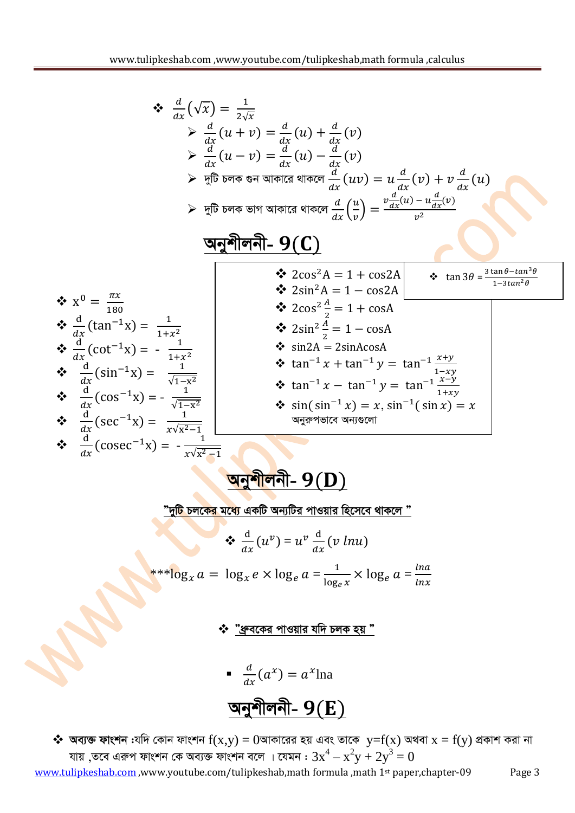$$
\begin{array}{rcl}\n\ast & \frac{d}{dx}(\sqrt{x}) & = & \frac{1}{2\sqrt{x}} \\
& \searrow & \frac{d}{dx}(u+v) & = & \frac{d}{dx}(u) + \frac{d}{dx}(v) \\
& \searrow & \frac{d}{dx}(u-v) & = & \frac{d}{dx}(u) - \frac{d}{dx}(v) \\
& \searrow & \frac{d}{dx}(u-v) & = & \frac{d}{dx}(u)v = u\frac{d}{dx}(v) + v\frac{d}{dx}(u) \\
& \searrow & \frac{d}{dx}(\overline{b})\overline{b} = \overline{b} = \overline{b} = \overline{b} = \overline{b} = \overline{b} = \overline{b} = \overline{b} = \overline{b} = \overline{b} = \overline{b} = \overline{b} = \overline{b} = \overline{b} = \overline{b} = \overline{b} = \overline{b} = \overline{b} = \overline{b} = \overline{b} = \overline{b} = \overline{b} = \overline{b} = \overline{b} = \overline{b} = \overline{b} = \overline{b} = \overline{b} = \overline{b} = \overline{b} = \overline{b} = \overline{b} = \overline{b} = \overline{b} = \overline{b} = \overline{b} = \overline{b} = \overline{b} = \overline{b} = \overline{b} = \overline{b} = \overline{b} = \overline{b} = \overline{b} = \overline{b} = \overline{b} = \overline{b} = \overline{b} = \overline{b} = \overline{b} = \overline{b} = \overline{b} = \overline{b} = \overline{b} = \overline{b} = \overline{b} = \overline{b} = \overline{b} = \overline{b} = \overline{b} = \overline{b} = \overline{b} = \overline{b} = \overline{b} = \overline{b} = \overline{b} = \overline{b} = \overline{b} = \overline{b} = \overline{b} = \overline{b} = \overline{b} = \overline{b} = \overline{b} = \overline{b} = \overline{b} = \overline{b} = \overline{b} = \overline{b} = \overline{b} = \overline{b} = \overline{b} = \overline{b
$$

<mark>টি চলকের মধ্যে</mark> একটি অন্যটির পাওয়ার হিসেবে থাকলে "

$$
\oint \frac{d}{dx} (u^v) = u^v \frac{d}{dx} (v \ln u)
$$
  
\*\* $\log_x a = \log_x e \times \log_e a = \frac{1}{\log_e x} \times \log_e a = \frac{\ln a}{\ln x}$ 

বকের পাওয়ার যদি চলক হয়

- 
$$
\frac{d}{dx}(a^x) = a^x
$$
lna  
**जन्ने** लग~~ि~~ - 9(E)

\* অব্যক্ত ফাংশন :যদি কোন ফাংশন  $f(x,y) = 0$ আকারের হয় এবং তাকে  $y=f(x)$  অথবা  $x = f(y)$  প্রকাশ করা না<br>যায় ,তবে এরুপ ফাংশন কে অব্যক্ত ফাংশন বলে । যেমন :  $3x^4 - x^2y + 2y^3 = 0$